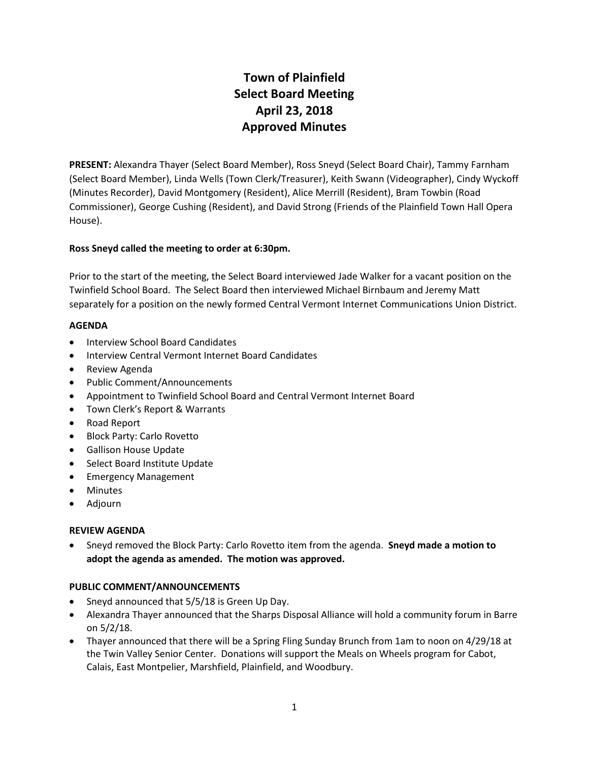# **Town of Plainfield Select Board Meeting April 23, 2018 Approved Minutes**

**PRESENT:** Alexandra Thayer (Select Board Member), Ross Sneyd (Select Board Chair), Tammy Farnham (Select Board Member), Linda Wells (Town Clerk/Treasurer), Keith Swann (Videographer), Cindy Wyckoff (Minutes Recorder), David Montgomery (Resident), Alice Merrill (Resident), Bram Towbin (Road Commissioner), George Cushing (Resident), and David Strong (Friends of the Plainfield Town Hall Opera House).

# **Ross Sneyd called the meeting to order at 6:30pm.**

Prior to the start of the meeting, the Select Board interviewed Jade Walker for a vacant position on the Twinfield School Board. The Select Board then interviewed Michael Birnbaum and Jeremy Matt separately for a position on the newly formed Central Vermont Internet Communications Union District.

## **AGENDA**

- Interview School Board Candidates
- Interview Central Vermont Internet Board Candidates
- Review Agenda
- Public Comment/Announcements
- Appointment to Twinfield School Board and Central Vermont Internet Board
- Town Clerk's Report & Warrants
- Road Report
- Block Party: Carlo Rovetto
- Gallison House Update
- Select Board Institute Update
- Emergency Management
- Minutes
- Adjourn

## **REVIEW AGENDA**

 Sneyd removed the Block Party: Carlo Rovetto item from the agenda. **Sneyd made a motion to adopt the agenda as amended. The motion was approved.**

## **PUBLIC COMMENT/ANNOUNCEMENTS**

- Sneyd announced that 5/5/18 is Green Up Day.
- Alexandra Thayer announced that the Sharps Disposal Alliance will hold a community forum in Barre on 5/2/18.
- Thayer announced that there will be a Spring Fling Sunday Brunch from 1am to noon on 4/29/18 at the Twin Valley Senior Center. Donations will support the Meals on Wheels program for Cabot, Calais, East Montpelier, Marshfield, Plainfield, and Woodbury.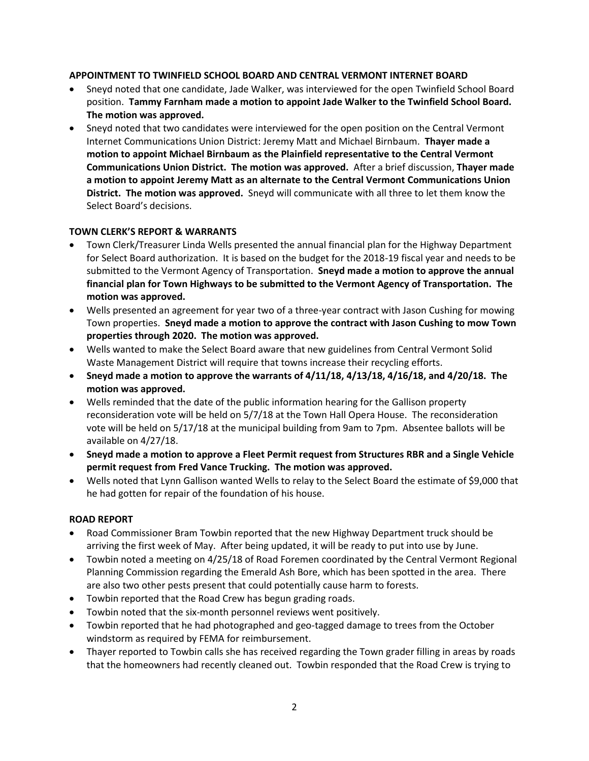# **APPOINTMENT TO TWINFIELD SCHOOL BOARD AND CENTRAL VERMONT INTERNET BOARD**

- Sneyd noted that one candidate, Jade Walker, was interviewed for the open Twinfield School Board position. **Tammy Farnham made a motion to appoint Jade Walker to the Twinfield School Board. The motion was approved.**
- Sneyd noted that two candidates were interviewed for the open position on the Central Vermont Internet Communications Union District: Jeremy Matt and Michael Birnbaum. **Thayer made a motion to appoint Michael Birnbaum as the Plainfield representative to the Central Vermont Communications Union District. The motion was approved.** After a brief discussion, **Thayer made a motion to appoint Jeremy Matt as an alternate to the Central Vermont Communications Union District. The motion was approved.** Sneyd will communicate with all three to let them know the Select Board's decisions.

# **TOWN CLERK'S REPORT & WARRANTS**

- Town Clerk/Treasurer Linda Wells presented the annual financial plan for the Highway Department for Select Board authorization. It is based on the budget for the 2018-19 fiscal year and needs to be submitted to the Vermont Agency of Transportation. **Sneyd made a motion to approve the annual financial plan for Town Highways to be submitted to the Vermont Agency of Transportation. The motion was approved.**
- Wells presented an agreement for year two of a three-year contract with Jason Cushing for mowing Town properties. **Sneyd made a motion to approve the contract with Jason Cushing to mow Town properties through 2020. The motion was approved.**
- Wells wanted to make the Select Board aware that new guidelines from Central Vermont Solid Waste Management District will require that towns increase their recycling efforts.
- **Sneyd made a motion to approve the warrants of 4/11/18, 4/13/18, 4/16/18, and 4/20/18. The motion was approved.**
- Wells reminded that the date of the public information hearing for the Gallison property reconsideration vote will be held on 5/7/18 at the Town Hall Opera House. The reconsideration vote will be held on 5/17/18 at the municipal building from 9am to 7pm. Absentee ballots will be available on 4/27/18.
- **Sneyd made a motion to approve a Fleet Permit request from Structures RBR and a Single Vehicle permit request from Fred Vance Trucking. The motion was approved.**
- Wells noted that Lynn Gallison wanted Wells to relay to the Select Board the estimate of \$9,000 that he had gotten for repair of the foundation of his house.

## **ROAD REPORT**

- Road Commissioner Bram Towbin reported that the new Highway Department truck should be arriving the first week of May. After being updated, it will be ready to put into use by June.
- Towbin noted a meeting on 4/25/18 of Road Foremen coordinated by the Central Vermont Regional Planning Commission regarding the Emerald Ash Bore, which has been spotted in the area. There are also two other pests present that could potentially cause harm to forests.
- Towbin reported that the Road Crew has begun grading roads.
- Towbin noted that the six-month personnel reviews went positively.
- Towbin reported that he had photographed and geo-tagged damage to trees from the October windstorm as required by FEMA for reimbursement.
- Thayer reported to Towbin calls she has received regarding the Town grader filling in areas by roads that the homeowners had recently cleaned out. Towbin responded that the Road Crew is trying to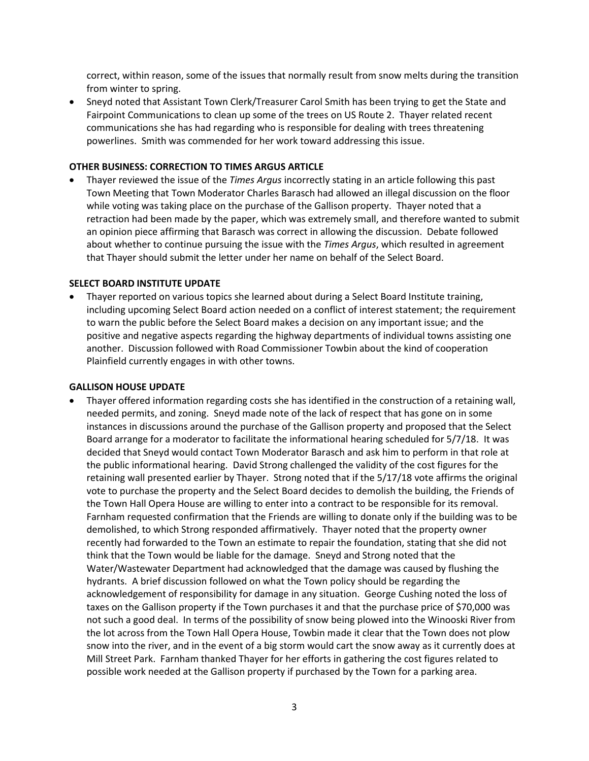correct, within reason, some of the issues that normally result from snow melts during the transition from winter to spring.

 Sneyd noted that Assistant Town Clerk/Treasurer Carol Smith has been trying to get the State and Fairpoint Communications to clean up some of the trees on US Route 2. Thayer related recent communications she has had regarding who is responsible for dealing with trees threatening powerlines. Smith was commended for her work toward addressing this issue.

#### **OTHER BUSINESS: CORRECTION TO TIMES ARGUS ARTICLE**

 Thayer reviewed the issue of the *Times Argus* incorrectly stating in an article following this past Town Meeting that Town Moderator Charles Barasch had allowed an illegal discussion on the floor while voting was taking place on the purchase of the Gallison property. Thayer noted that a retraction had been made by the paper, which was extremely small, and therefore wanted to submit an opinion piece affirming that Barasch was correct in allowing the discussion. Debate followed about whether to continue pursuing the issue with the *Times Argus*, which resulted in agreement that Thayer should submit the letter under her name on behalf of the Select Board.

#### **SELECT BOARD INSTITUTE UPDATE**

 Thayer reported on various topics she learned about during a Select Board Institute training, including upcoming Select Board action needed on a conflict of interest statement; the requirement to warn the public before the Select Board makes a decision on any important issue; and the positive and negative aspects regarding the highway departments of individual towns assisting one another. Discussion followed with Road Commissioner Towbin about the kind of cooperation Plainfield currently engages in with other towns.

#### **GALLISON HOUSE UPDATE**

 Thayer offered information regarding costs she has identified in the construction of a retaining wall, needed permits, and zoning. Sneyd made note of the lack of respect that has gone on in some instances in discussions around the purchase of the Gallison property and proposed that the Select Board arrange for a moderator to facilitate the informational hearing scheduled for 5/7/18. It was decided that Sneyd would contact Town Moderator Barasch and ask him to perform in that role at the public informational hearing. David Strong challenged the validity of the cost figures for the retaining wall presented earlier by Thayer. Strong noted that if the 5/17/18 vote affirms the original vote to purchase the property and the Select Board decides to demolish the building, the Friends of the Town Hall Opera House are willing to enter into a contract to be responsible for its removal. Farnham requested confirmation that the Friends are willing to donate only if the building was to be demolished, to which Strong responded affirmatively. Thayer noted that the property owner recently had forwarded to the Town an estimate to repair the foundation, stating that she did not think that the Town would be liable for the damage. Sneyd and Strong noted that the Water/Wastewater Department had acknowledged that the damage was caused by flushing the hydrants. A brief discussion followed on what the Town policy should be regarding the acknowledgement of responsibility for damage in any situation. George Cushing noted the loss of taxes on the Gallison property if the Town purchases it and that the purchase price of \$70,000 was not such a good deal. In terms of the possibility of snow being plowed into the Winooski River from the lot across from the Town Hall Opera House, Towbin made it clear that the Town does not plow snow into the river, and in the event of a big storm would cart the snow away as it currently does at Mill Street Park. Farnham thanked Thayer for her efforts in gathering the cost figures related to possible work needed at the Gallison property if purchased by the Town for a parking area.